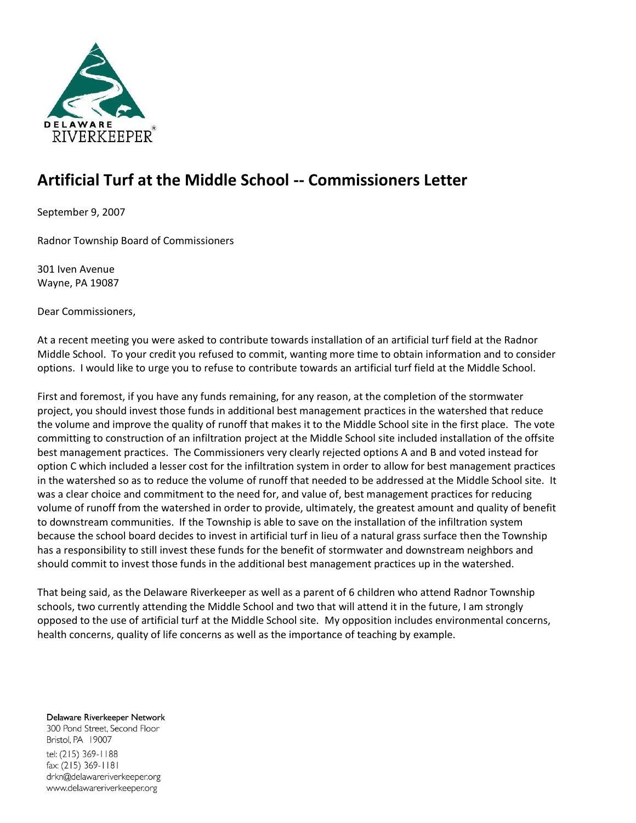

# **Artificial Turf at the Middle School -- Commissioners Letter**

September 9, 2007

Radnor Township Board of Commissioners

301 Iven Avenue Wayne, PA 19087

Dear Commissioners,

At a recent meeting you were asked to contribute towards installation of an artificial turf field at the Radnor Middle School. To your credit you refused to commit, wanting more time to obtain information and to consider options. I would like to urge you to refuse to contribute towards an artificial turf field at the Middle School.

First and foremost, if you have any funds remaining, for any reason, at the completion of the stormwater project, you should invest those funds in additional best management practices in the watershed that reduce the volume and improve the quality of runoff that makes it to the Middle School site in the first place. The vote committing to construction of an infiltration project at the Middle School site included installation of the offsite best management practices. The Commissioners very clearly rejected options A and B and voted instead for option C which included a lesser cost for the infiltration system in order to allow for best management practices in the watershed so as to reduce the volume of runoff that needed to be addressed at the Middle School site. It was a clear choice and commitment to the need for, and value of, best management practices for reducing volume of runoff from the watershed in order to provide, ultimately, the greatest amount and quality of benefit to downstream communities. If the Township is able to save on the installation of the infiltration system because the school board decides to invest in artificial turf in lieu of a natural grass surface then the Township has a responsibility to still invest these funds for the benefit of stormwater and downstream neighbors and should commit to invest those funds in the additional best management practices up in the watershed.

That being said, as the Delaware Riverkeeper as well as a parent of 6 children who attend Radnor Township schools, two currently attending the Middle School and two that will attend it in the future, I am strongly opposed to the use of artificial turf at the Middle School site. My opposition includes environmental concerns, health concerns, quality of life concerns as well as the importance of teaching by example.

Delaware Riverkeeper Network 300 Pond Street, Second Floor Bristol, PA 19007 tel: (215) 369-1188 fax: (215) 369-1181 drkn@delawareriverkeeper.org www.delawareriverkeeper.org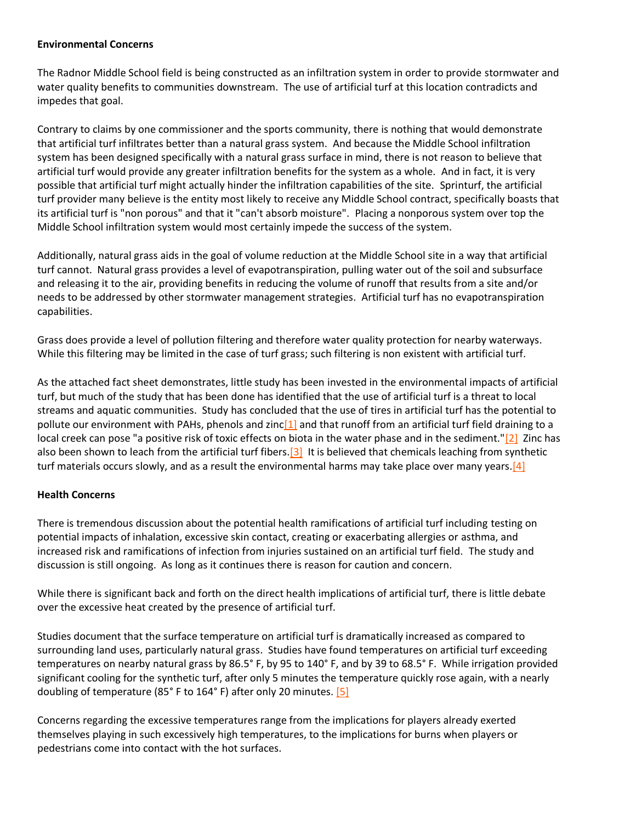#### **Environmental Concerns**

The Radnor Middle School field is being constructed as an infiltration system in order to provide stormwater and water quality benefits to communities downstream. The use of artificial turf at this location contradicts and impedes that goal.

Contrary to claims by one commissioner and the sports community, there is nothing that would demonstrate that artificial turf infiltrates better than a natural grass system. And because the Middle School infiltration system has been designed specifically with a natural grass surface in mind, there is not reason to believe that artificial turf would provide any greater infiltration benefits for the system as a whole. And in fact, it is very possible that artificial turf might actually hinder the infiltration capabilities of the site. Sprinturf, the artificial turf provider many believe is the entity most likely to receive any Middle School contract, specifically boasts that its artificial turf is "non porous" and that it "can't absorb moisture". Placing a nonporous system over top the Middle School infiltration system would most certainly impede the success of the system.

Additionally, natural grass aids in the goal of volume reduction at the Middle School site in a way that artificial turf cannot. Natural grass provides a level of evapotranspiration, pulling water out of the soil and subsurface and releasing it to the air, providing benefits in reducing the volume of runoff that results from a site and/or needs to be addressed by other stormwater management strategies. Artificial turf has no evapotranspiration capabilities.

Grass does provide a level of pollution filtering and therefore water quality protection for nearby waterways. While this filtering may be limited in the case of turf grass; such filtering is non existent with artificial turf.

As the attached fact sheet demonstrates, little study has been invested in the environmental impacts of artificial turf, but much of the study that has been done has identified that the use of artificial turf is a threat to local streams and aquatic communities. Study has concluded that the use of tires in artificial turf has the potential to pollute our environment with PAHs, phenols and zinc<sup>[1]</sup> and that runoff from an artificial turf field draining to a local creek can pose "a positive risk of toxic effects on biota in the water phase and in the sediment.["\[2\]](http://delawareriverkeeper.org/newsresources/factsheet.asp?ID=51#_ftn2) Zinc has also been shown to leach from the artificial turf fibers.<sup>[3]</sup> It is believed that chemicals leaching from synthetic turf materials occurs slowly, and as a result the environmental harms may take place over many years[.\[4\]](http://delawareriverkeeper.org/newsresources/factsheet.asp?ID=51#_ftn4)

#### **Health Concerns**

There is tremendous discussion about the potential health ramifications of artificial turf including testing on potential impacts of inhalation, excessive skin contact, creating or exacerbating allergies or asthma, and increased risk and ramifications of infection from injuries sustained on an artificial turf field. The study and discussion is still ongoing. As long as it continues there is reason for caution and concern.

While there is significant back and forth on the direct health implications of artificial turf, there is little debate over the excessive heat created by the presence of artificial turf.

Studies document that the surface temperature on artificial turf is dramatically increased as compared to surrounding land uses, particularly natural grass. Studies have found temperatures on artificial turf exceeding temperatures on nearby natural grass by 86.5° F, by 95 to 140° F, and by 39 to 68.5° F. While irrigation provided significant cooling for the synthetic turf, after only 5 minutes the temperature quickly rose again, with a nearly doubling of temperature (85° F to 164° F) after only 20 minutes. [\[5\]](http://delawareriverkeeper.org/newsresources/factsheet.asp?ID=51#_ftn5)

Concerns regarding the excessive temperatures range from the implications for players already exerted themselves playing in such excessively high temperatures, to the implications for burns when players or pedestrians come into contact with the hot surfaces.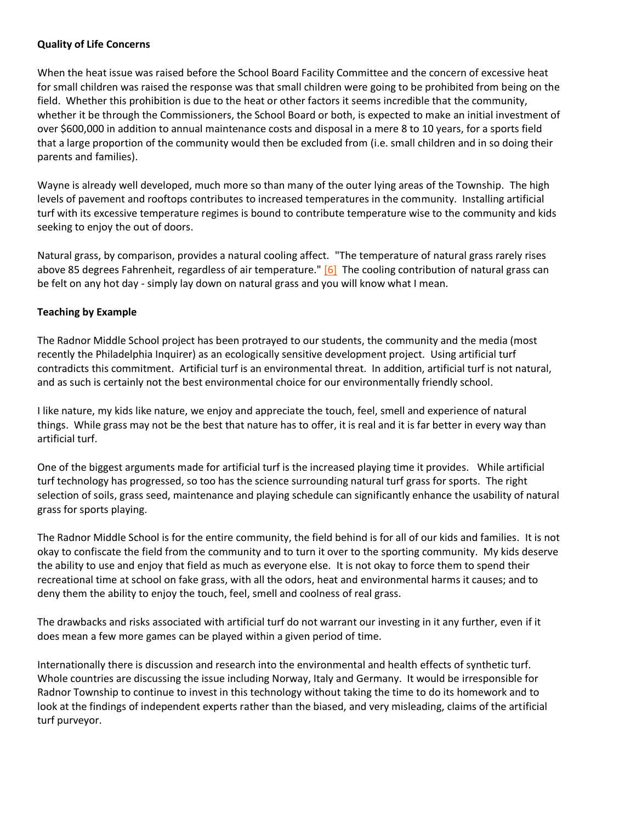### **Quality of Life Concerns**

When the heat issue was raised before the School Board Facility Committee and the concern of excessive heat for small children was raised the response was that small children were going to be prohibited from being on the field. Whether this prohibition is due to the heat or other factors it seems incredible that the community, whether it be through the Commissioners, the School Board or both, is expected to make an initial investment of over \$600,000 in addition to annual maintenance costs and disposal in a mere 8 to 10 years, for a sports field that a large proportion of the community would then be excluded from (i.e. small children and in so doing their parents and families).

Wayne is already well developed, much more so than many of the outer lying areas of the Township. The high levels of pavement and rooftops contributes to increased temperatures in the community. Installing artificial turf with its excessive temperature regimes is bound to contribute temperature wise to the community and kids seeking to enjoy the out of doors.

Natural grass, by comparison, provides a natural cooling affect. "The temperature of natural grass rarely rises above 85 degrees Fahrenheit, regardless of air temperature." [\[6\]](http://delawareriverkeeper.org/newsresources/factsheet.asp?ID=51#_ftn6) The cooling contribution of natural grass can be felt on any hot day - simply lay down on natural grass and you will know what I mean.

## **Teaching by Example**

The Radnor Middle School project has been protrayed to our students, the community and the media (most recently the Philadelphia Inquirer) as an ecologically sensitive development project. Using artificial turf contradicts this commitment. Artificial turf is an environmental threat. In addition, artificial turf is not natural, and as such is certainly not the best environmental choice for our environmentally friendly school.

I like nature, my kids like nature, we enjoy and appreciate the touch, feel, smell and experience of natural things. While grass may not be the best that nature has to offer, it is real and it is far better in every way than artificial turf.

One of the biggest arguments made for artificial turf is the increased playing time it provides. While artificial turf technology has progressed, so too has the science surrounding natural turf grass for sports. The right selection of soils, grass seed, maintenance and playing schedule can significantly enhance the usability of natural grass for sports playing.

The Radnor Middle School is for the entire community, the field behind is for all of our kids and families. It is not okay to confiscate the field from the community and to turn it over to the sporting community. My kids deserve the ability to use and enjoy that field as much as everyone else. It is not okay to force them to spend their recreational time at school on fake grass, with all the odors, heat and environmental harms it causes; and to deny them the ability to enjoy the touch, feel, smell and coolness of real grass.

The drawbacks and risks associated with artificial turf do not warrant our investing in it any further, even if it does mean a few more games can be played within a given period of time.

Internationally there is discussion and research into the environmental and health effects of synthetic turf. Whole countries are discussing the issue including Norway, Italy and Germany. It would be irresponsible for Radnor Township to continue to invest in this technology without taking the time to do its homework and to look at the findings of independent experts rather than the biased, and very misleading, claims of the artificial turf purveyor.